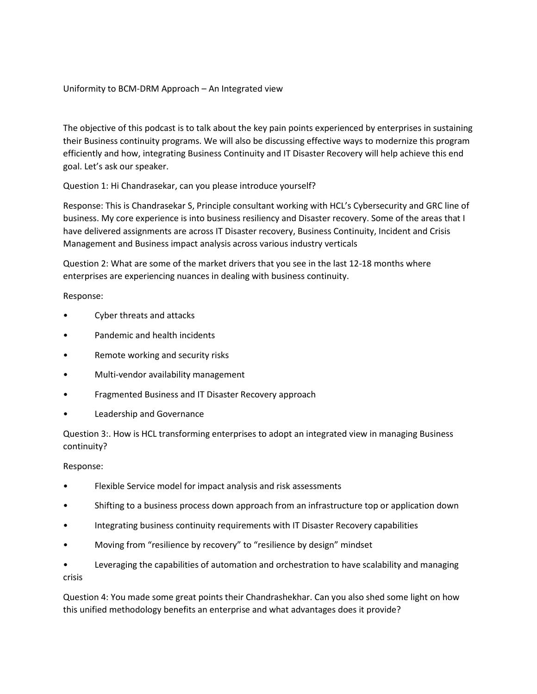## Uniformity to BCM-DRM Approach – An Integrated view

The objective of this podcast is to talk about the key pain points experienced by enterprises in sustaining their Business continuity programs. We will also be discussing effective ways to modernize this program efficiently and how, integrating Business Continuity and IT Disaster Recovery will help achieve this end goal. Let's ask our speaker.

Question 1: Hi Chandrasekar, can you please introduce yourself?

Response: This is Chandrasekar S, Principle consultant working with HCL's Cybersecurity and GRC line of business. My core experience is into business resiliency and Disaster recovery. Some of the areas that I have delivered assignments are across IT Disaster recovery, Business Continuity, Incident and Crisis Management and Business impact analysis across various industry verticals

Question 2: What are some of the market drivers that you see in the last 12-18 months where enterprises are experiencing nuances in dealing with business continuity.

Response:

- Cyber threats and attacks
- Pandemic and health incidents
- Remote working and security risks
- Multi-vendor availability management
- Fragmented Business and IT Disaster Recovery approach
- Leadership and Governance

Question 3:. How is HCL transforming enterprises to adopt an integrated view in managing Business continuity?

Response:

- Flexible Service model for impact analysis and risk assessments
- Shifting to a business process down approach from an infrastructure top or application down
- Integrating business continuity requirements with IT Disaster Recovery capabilities
- Moving from "resilience by recovery" to "resilience by design" mindset

• Leveraging the capabilities of automation and orchestration to have scalability and managing crisis

Question 4: You made some great points their Chandrashekhar. Can you also shed some light on how this unified methodology benefits an enterprise and what advantages does it provide?